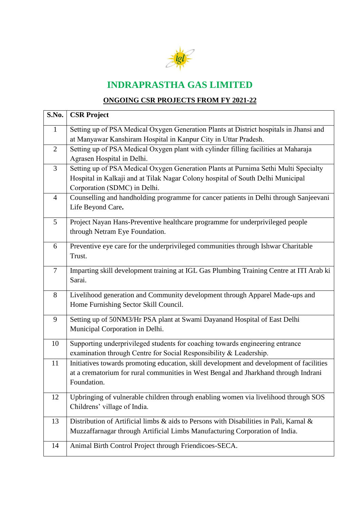

## **INDRAPRASTHA GAS LIMITED**

## **ONGOING CSR PROJECTS FROM FY 2021-22**

| S.No. | <b>CSR Project</b>                                                                                         |
|-------|------------------------------------------------------------------------------------------------------------|
| 1     | Setting up of PSA Medical Oxygen Generation Plants at District hospitals in Jhansi and                     |
|       | at Manyawar Kanshiram Hospital in Kanpur City in Uttar Pradesh.                                            |
| 2     | Setting up of PSA Medical Oxygen plant with cylinder filling facilities at Maharaja                        |
|       | Agrasen Hospital in Delhi.                                                                                 |
| 3     | Setting up of PSA Medical Oxygen Generation Plants at Purnima Sethi Multi Specialty                        |
|       | Hospital in Kalkaji and at Tilak Nagar Colony hospital of South Delhi Municipal                            |
|       | Corporation (SDMC) in Delhi.                                                                               |
| 4     | Counselling and handholding programme for cancer patients in Delhi through Sanjeevani<br>Life Beyond Care. |
| 5     | Project Nayan Hans-Preventive healthcare programme for underprivileged people                              |
|       | through Netram Eye Foundation.                                                                             |
| 6     | Preventive eye care for the underprivileged communities through Ishwar Charitable                          |
|       | Trust.                                                                                                     |
| 7     | Imparting skill development training at IGL Gas Plumbing Training Centre at ITI Arab ki                    |
|       | Sarai.                                                                                                     |
| 8     | Livelihood generation and Community development through Apparel Made-ups and                               |
|       | Home Furnishing Sector Skill Council.                                                                      |
| 9     | Setting up of 50NM3/Hr PSA plant at Swami Dayanand Hospital of East Delhi                                  |
|       | Municipal Corporation in Delhi.                                                                            |
| 10    | Supporting underprivileged students for coaching towards engineering entrance                              |
|       | examination through Centre for Social Responsibility & Leadership.                                         |
| 11    | Initiatives towards promoting education, skill development and development of facilities                   |
|       | at a crematorium for rural communities in West Bengal and Jharkhand through Indrani                        |
|       | Foundation.                                                                                                |
| 12    | Upbringing of vulnerable children through enabling women via livelihood through SOS                        |
|       | Childrens' village of India.                                                                               |
| 13    | Distribution of Artificial limbs & aids to Persons with Disabilities in Pali, Karnal &                     |
|       | Muzzaffarnagar through Artificial Limbs Manufacturing Corporation of India.                                |
| 14    | Animal Birth Control Project through Friendicoes-SECA.                                                     |
|       |                                                                                                            |